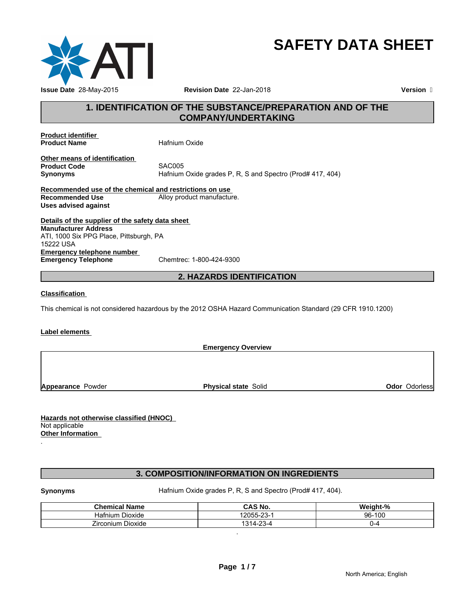

# **SAFETY DATA SHEET**

# **1. IDENTIFICATION OF THE SUBSTANCE/PREPARATION AND OF THE COMPANY/UNDERTAKING**

**Product identifier Product Name** Hafnium Oxide

**Other means of identification Product Code**<br>Synonyms

**Synonyms** Hafnium Oxide grades P, R, S and Spectro (Prod# 417, 404)

**Recommended use of the chemical and restrictions on use Recommended Use Commended Use Alloy product manufacture. Uses advised against**

**Details of the supplier of the safety data sheet Emergency telephone number**<br> **Emergency Telephone**<br>
Chemtrec: 1-800-424-9300 **Emergency Telephone Manufacturer Address** ATI, 1000 Six PPG Place, Pittsburgh, PA 15222 USA

# **2. HAZARDS IDENTIFICATION**

### **Classification**

This chemical is not considered hazardous by the 2012 OSHA Hazard Communication Standard (29 CFR 1910.1200)

### **Label elements**

**Emergency Overview**

**Appearance Powder <b>Physical state** Solid

**Odor** Odorless

**Hazards not otherwise classified (HNOC)**  Not applicable **Other Information** 

# **3. COMPOSITION/INFORMATION ON INGREDIENTS**

.

**Synonyms Hafnium Oxide grades P, R, S and Spectro (Prod# 417, 404).** 

.

| .<br><b>Chemical</b><br>Name      | <b>CAS No.</b>                       | <br>$\mathbf{a}$<br>weiaht-% |
|-----------------------------------|--------------------------------------|------------------------------|
| - -<br>Dioxide<br>latnıum         | $\sim$<br>1005F<br>-دے-              | $-100$<br>$96 -$             |
| --<br>- -<br>Zirconium<br>Dioxide | $\sim$<br>$\sim$<br>314.<br>7-L<br>ີ | ._                           |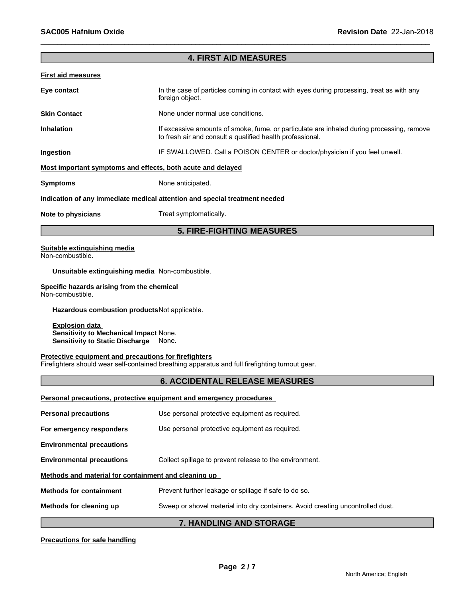# **4. FIRST AID MEASURES**

| First aid measures  |                                                                                                                                                        |
|---------------------|--------------------------------------------------------------------------------------------------------------------------------------------------------|
| Eye contact         | In the case of particles coming in contact with eyes during processing, treat as with any<br>foreign object.                                           |
| <b>Skin Contact</b> | None under normal use conditions.                                                                                                                      |
| <b>Inhalation</b>   | If excessive amounts of smoke, fume, or particulate are inhaled during processing, remove<br>to fresh air and consult a qualified health professional. |
| Ingestion           | IF SWALLOWED. Call a POISON CENTER or doctor/physician if you feel unwell.                                                                             |
|                     | Most important symptoms and effects, both acute and delayed                                                                                            |
| <b>Symptoms</b>     | None anticipated.                                                                                                                                      |
|                     | Indication of any immediate medical attention and special treatment needed                                                                             |
| Note to physicians  | Treat symptomatically.                                                                                                                                 |
|                     | <b>5. FIRE-FIGHTING MEASURES</b>                                                                                                                       |

#### **Suitable extinguishing media** Non-combustible.

**Unsuitable extinguishing media** Non-combustible.

### **Specific hazards arising from the chemical**

Non-combustible.

**Hazardous combustion products**Not applicable.

**Explosion data Sensitivity to Mechanical Impact** None. **Sensitivity to Static Discharge** None.

# **Protective equipment and precautions for firefighters**

Firefighters should wear self-contained breathing apparatus and full firefighting turnout gear.

# **6. ACCIDENTAL RELEASE MEASURES**

|                                                      | Personal precautions, protective equipment and emergency procedures             |
|------------------------------------------------------|---------------------------------------------------------------------------------|
| <b>Personal precautions</b>                          | Use personal protective equipment as required.                                  |
| For emergency responders                             | Use personal protective equipment as required.                                  |
| <b>Environmental precautions</b>                     |                                                                                 |
| <b>Environmental precautions</b>                     | Collect spillage to prevent release to the environment.                         |
| Methods and material for containment and cleaning up |                                                                                 |
| <b>Methods for containment</b>                       | Prevent further leakage or spillage if safe to do so.                           |
| Methods for cleaning up                              | Sweep or shovel material into dry containers. Avoid creating uncontrolled dust. |
|                                                      | - IIIININIA IIIN ATANIAF                                                        |

### **7. HANDLING AND STORAGE**

## **Precautions for safe handling**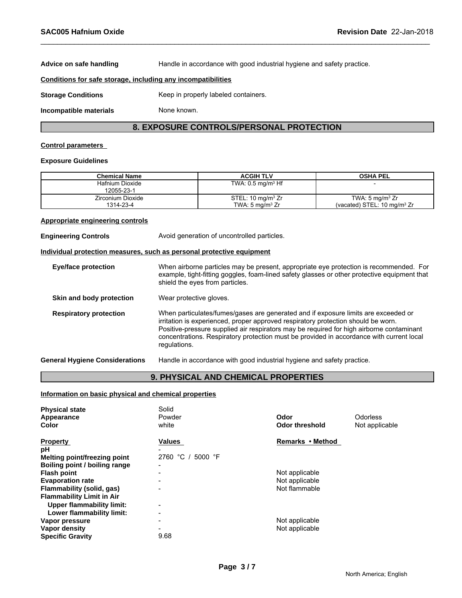**Advice on safe handling** Handle in accordance with good industrial hygiene and safety practice. **Conditions for safe storage, including any incompatibilities Storage Conditions** Keep in properly labeled containers. **Incompatible materials** None known.

# **8. EXPOSURE CONTROLS/PERSONAL PROTECTION**

#### **Control parameters**

#### **Exposure Guidelines**

| Chemical Name     | <b>ACGIH TLV</b>                | <b>OSHA PEL</b>                |
|-------------------|---------------------------------|--------------------------------|
| Hafnium Dioxide   | TWA: $0.5$ mg/m <sup>3</sup> Hf |                                |
| 12055-23-1        |                                 |                                |
| Zirconium Dioxide | STEL: 10 mg/m <sup>3</sup> $Zr$ | TWA: $5 \text{ mg/m}^3$ Zr     |
| 1314-23-4         | TWA: 5 ma/m <sup>3</sup> Zr     | (vacated) STEL: 10 mg/m $3 Zr$ |

#### **Appropriate engineering controls**

**Engineering Controls Avoid generation of uncontrolled particles.** 

#### **Individual protection measures, such as personal protective equipment**

| <b>Eye/face protection</b>            | When airborne particles may be present, appropriate eye protection is recommended. For<br>example, tight-fitting goggles, foam-lined safety glasses or other protective equipment that<br>shield the eyes from particles.                                                                                                                                                       |
|---------------------------------------|---------------------------------------------------------------------------------------------------------------------------------------------------------------------------------------------------------------------------------------------------------------------------------------------------------------------------------------------------------------------------------|
| Skin and body protection              | Wear protective gloves.                                                                                                                                                                                                                                                                                                                                                         |
| <b>Respiratory protection</b>         | When particulates/fumes/gases are generated and if exposure limits are exceeded or<br>irritation is experienced, proper approved respiratory protection should be worn.<br>Positive-pressure supplied air respirators may be required for high airborne contaminant<br>concentrations. Respiratory protection must be provided in accordance with current local<br>regulations. |
| <b>General Hygiene Considerations</b> | Handle in accordance with good industrial hygiene and safety practice.                                                                                                                                                                                                                                                                                                          |

# **9. PHYSICAL AND CHEMICAL PROPERTIES**

# **Information on basic physical and chemical properties**

| <b>Physical state</b><br>Appearance<br>Color | Solid<br>Powder<br>white | Odor<br><b>Odor threshold</b> | Odorless<br>Not applicable |
|----------------------------------------------|--------------------------|-------------------------------|----------------------------|
| <b>Property</b>                              | <b>Values</b>            | Remarks • Method              |                            |
| рH                                           |                          |                               |                            |
| Melting point/freezing point                 | 2760 °C /<br>5000 °F     |                               |                            |
| Boiling point / boiling range                | $\overline{\phantom{0}}$ |                               |                            |
| <b>Flash point</b>                           |                          | Not applicable                |                            |
| <b>Evaporation rate</b>                      |                          | Not applicable                |                            |
| Flammability (solid, gas)                    | -                        | Not flammable                 |                            |
| <b>Flammability Limit in Air</b>             |                          |                               |                            |
| Upper flammability limit:                    | $\overline{\phantom{a}}$ |                               |                            |
| Lower flammability limit:                    | $\overline{\phantom{a}}$ |                               |                            |
| Vapor pressure                               | -                        | Not applicable                |                            |
| Vapor density                                | $\overline{\phantom{0}}$ | Not applicable                |                            |
| <b>Specific Gravity</b>                      | 9.68                     |                               |                            |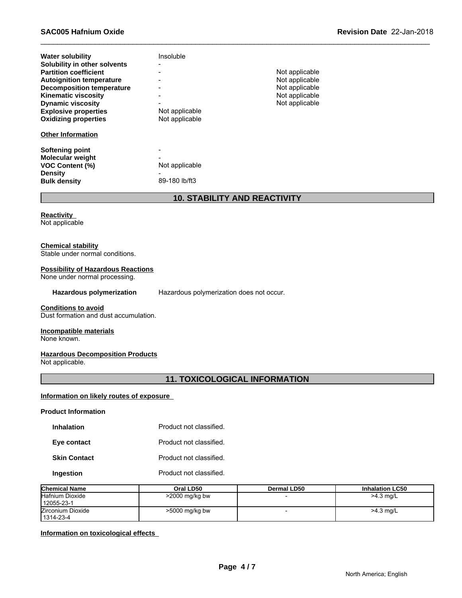| <b>Water solubility</b><br>Solubility in other solvents<br><b>Partition coefficient</b><br><b>Autoignition temperature</b><br><b>Decomposition temperature</b><br><b>Kinematic viscosity</b><br><b>Dynamic viscosity</b><br><b>Explosive properties</b><br><b>Oxidizing properties</b> | Insoluble<br>$\overline{\phantom{0}}$<br>Not applicable<br>Not applicable | Not applicable<br>Not applicable<br>Not applicable<br>Not applicable<br>Not applicable |
|----------------------------------------------------------------------------------------------------------------------------------------------------------------------------------------------------------------------------------------------------------------------------------------|---------------------------------------------------------------------------|----------------------------------------------------------------------------------------|
| <b>Other Information</b>                                                                                                                                                                                                                                                               |                                                                           |                                                                                        |
| Softening point<br><b>Molecular weight</b><br><b>VOC Content (%)</b><br><b>Density</b><br><b>Bulk density</b>                                                                                                                                                                          | Not applicable<br>89-180 lb/ft3                                           |                                                                                        |

# **10. STABILITY AND REACTIVITY**

**Reactivity**  Not applicable

#### **Chemical stability**

Stable under normal conditions.

# **Possibility of Hazardous Reactions**

None under normal processing.

**Hazardous polymerization** Hazardous polymerization does not occur.

# **Conditions to avoid**

Dust formation and dust accumulation.

# **Incompatible materials**

None known.

# **Hazardous Decomposition Products**

Not applicable.

# **11. TOXICOLOGICAL INFORMATION**

#### **Information on likely routes of exposure**

# **Product Information**

| <b>Inhalation</b>   | Product not classified. |
|---------------------|-------------------------|
| Eye contact         | Product not classified. |
| <b>Skin Contact</b> | Product not classified. |
| Ingestion           | Product not classified. |

| <b>Chemical Name</b>           | Oral LD50        | Dermal LD50 | <b>Inhalation LC50</b> |
|--------------------------------|------------------|-------------|------------------------|
| Hafnium Dioxide<br>12055-23-1  | $>2000$ mg/kg bw |             | $>4.3$ mg/L            |
| Zirconium Dioxide<br>1314-23-4 | >5000 mg/kg bw   |             | $>4.3$ mg/L            |

# **Information on toxicological effects**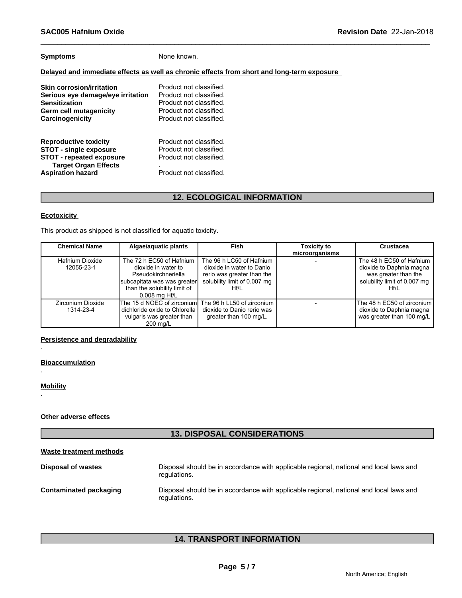| <b>Symptoms</b> |
|-----------------|
|-----------------|

None known.

# **Delayed and immediate effects as well as chronic effects from short and long-term exposure**

| <b>Skin corrosion/irritation</b>                                                                                                                            | Product not classified.                                                                                  |
|-------------------------------------------------------------------------------------------------------------------------------------------------------------|----------------------------------------------------------------------------------------------------------|
| Serious eye damage/eye irritation                                                                                                                           | Product not classified.                                                                                  |
| <b>Sensitization</b>                                                                                                                                        | Product not classified.                                                                                  |
| Germ cell mutagenicity                                                                                                                                      | Product not classified.                                                                                  |
| Carcinogenicity                                                                                                                                             | Product not classified.                                                                                  |
| <b>Reproductive toxicity</b><br><b>STOT - single exposure</b><br><b>STOT - repeated exposure</b><br><b>Target Organ Effects</b><br><b>Aspiration hazard</b> | Product not classified.<br>Product not classified.<br>Product not classified.<br>Product not classified. |

# **12. ECOLOGICAL INFORMATION**

# **Ecotoxicity**

This product as shipped is not classified for aquatic toxicity.

| <b>Chemical Name</b>           | Algae/aquatic plants                                                                                                                                   | Fish                                                                                                                        | <b>Toxicity to</b><br>microorganisms | Crustacea                                                                                                            |
|--------------------------------|--------------------------------------------------------------------------------------------------------------------------------------------------------|-----------------------------------------------------------------------------------------------------------------------------|--------------------------------------|----------------------------------------------------------------------------------------------------------------------|
| Hafnium Dioxide<br>12055-23-1  | The 72 h EC50 of Hafnium<br>dioxide in water to<br>Pseudokirchneriella<br>subcapitata was was greater<br>than the solubility limit of<br>0.008 mg Hf/L | The 96 h LC50 of Hafnium<br>dioxide in water to Danio<br>rerio was greater than the<br>solubility limit of 0.007 mg<br>Hf/L |                                      | The 48 h EC50 of Hafnium<br>dioxide to Daphnia magna<br>was greater than the<br>solubility limit of 0.007 mg<br>Hf/L |
| Zirconium Dioxide<br>1314-23-4 | The 15 d NOEC of zirconiuml The 96 h LL50 of zirconium<br>dichloride oxide to Chlorella<br>vulgaris was greater than<br>200 mg/L                       | dioxide to Danio rerio was<br>greater than 100 mg/L.                                                                        |                                      | The 48 h EC50 of zirconium l<br>dioxide to Daphnia magna<br>was greater than 100 mg/L                                |

# **Persistence and degradability**

**Bioaccumulation**

**Mobility**

.

.

.

**Other adverse effects** 

# **13. DISPOSAL CONSIDERATIONS**

| Waste treatment methods |                                                                                                        |
|-------------------------|--------------------------------------------------------------------------------------------------------|
| Disposal of wastes      | Disposal should be in accordance with applicable regional, national and local laws and<br>regulations. |
| Contaminated packaging  | Disposal should be in accordance with applicable regional, national and local laws and<br>regulations. |

# **14. TRANSPORT INFORMATION**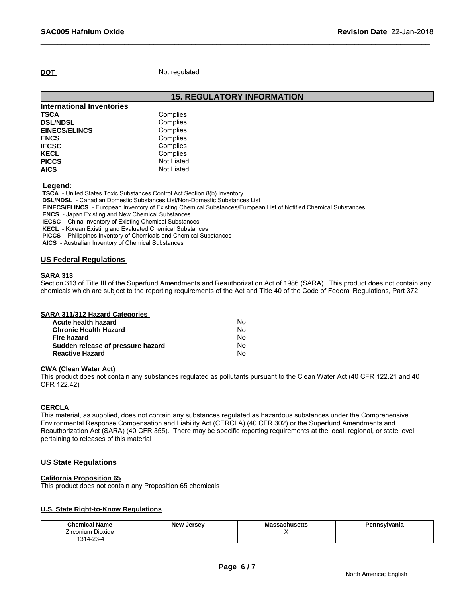**DOT** Not regulated

**15. REGULATORY INFORMATION**

| Complies          |  |
|-------------------|--|
| Complies          |  |
| Complies          |  |
| Complies          |  |
| Complies          |  |
| Complies          |  |
| <b>Not Listed</b> |  |
| <b>Not Listed</b> |  |
|                   |  |

 **Legend:** 

 **TSCA** - United States Toxic Substances Control Act Section 8(b) Inventory

 **DSL/NDSL** - Canadian Domestic Substances List/Non-Domestic Substances List

 **EINECS/ELINCS** - European Inventory of Existing Chemical Substances/European List of Notified Chemical Substances

 **ENCS** - Japan Existing and New Chemical Substances

 **IECSC** - China Inventory of Existing Chemical Substances

 **KECL** - Korean Existing and Evaluated Chemical Substances

 **PICCS** - Philippines Inventory of Chemicals and Chemical Substances

 **AICS** - Australian Inventory of Chemical Substances

# **US Federal Regulations**

# **SARA 313**

Section 313 of Title III of the Superfund Amendments and Reauthorization Act of 1986 (SARA). This product does not contain any chemicals which are subject to the reporting requirements of the Act and Title 40 of the Code of Federal Regulations, Part 372

| <b>SARA 311/312 Hazard Categories</b> |  |
|---------------------------------------|--|
|---------------------------------------|--|

| Acute health hazard               | N٥ |  |
|-----------------------------------|----|--|
| <b>Chronic Health Hazard</b>      | No |  |
| Fire hazard                       | N٥ |  |
| Sudden release of pressure hazard | N٥ |  |
| <b>Reactive Hazard</b>            | No |  |

#### **CWA (Clean Water Act)**

This product does not contain any substances regulated as pollutants pursuant to the Clean Water Act (40 CFR 122.21 and 40 CFR 122.42)

### **CERCLA**

This material, as supplied, does not contain any substances regulated as hazardous substances under the Comprehensive Environmental Response Compensation and Liability Act (CERCLA) (40 CFR 302) or the Superfund Amendments and Reauthorization Act (SARA) (40 CFR 355). There may be specific reporting requirements at the local, regional, or state level pertaining to releases of this material

### **US State Regulations**

# **California Proposition 65**

This product does not contain any Proposition 65 chemicals

### **U.S. State Right-to-Know Regulations**

| <b>Chemical Name</b>     | <b>Jersey</b><br><b>New</b> | 1000<br>massachusetts | n.<br><b>nsylvania</b> |  |
|--------------------------|-----------------------------|-----------------------|------------------------|--|
| -<br>Zirconium Dioxide   |                             |                       |                        |  |
| $\sim$<br>$'314-$<br>~ت∠ |                             |                       |                        |  |